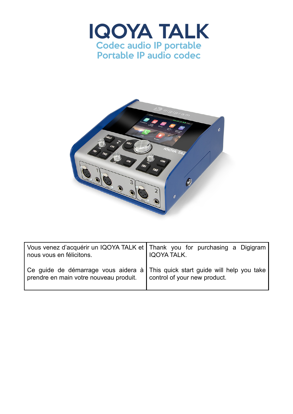



| nous vous en félicitons.                                                                                                | Vous venez d'acquérir un IQOYA TALK et   Thank you for purchasing a Digigram<br>IQOYA TALK. |  |
|-------------------------------------------------------------------------------------------------------------------------|---------------------------------------------------------------------------------------------|--|
| Ce guide de démarrage vous aidera à This quick start guide will help you take<br>prendre en main votre nouveau produit. | control of your new product.                                                                |  |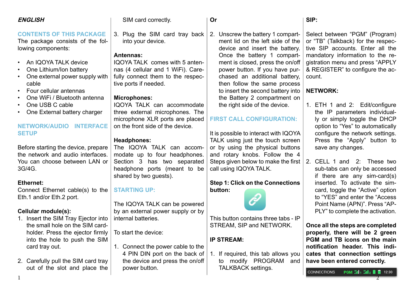| <b>ENGLISH</b>                                                                            | SIM card correctly.                                 | Or                                                                                                      | SIP:                                                                                                     |
|-------------------------------------------------------------------------------------------|-----------------------------------------------------|---------------------------------------------------------------------------------------------------------|----------------------------------------------------------------------------------------------------------|
| <b>CONTENTS OF THIS PACKAGE</b><br>The package consists of the fol-<br>lowing components: | 3. Plug the SIM card tray back<br>into your device. | 2. Unscrew the battery 1 compart-<br>ment lid on the left side of the<br>device and insert the battery. | Select between "PGM" (Program)<br>or "TB" (Talkback) for the respec-<br>tive SIP accounts. Enter all the |
|                                                                                           | Antennas:                                           | Once the battery 1 compart-                                                                             | mandatory information to the re-                                                                         |
| An IQOYA TALK device<br>$\bullet$                                                         | IQOYA TALK comes with 5 anten-                      | ment is closed, press the on/off                                                                        | gistration menu and press "APPLY                                                                         |
| One Lithium/Ion battery                                                                   | nas (4 cellular and 1 WiFi). Care-                  | power button. If you have pur-                                                                          | & REGISTER" to configure the ac-                                                                         |
| One external power supply with                                                            | fully connect them to the respec-                   | chased an additional battery,                                                                           | count.                                                                                                   |
| cable                                                                                     | tive ports if needed.                               | then follow the same process                                                                            |                                                                                                          |
| Four cellular antennas<br>$\bullet$                                                       |                                                     | to insert the second battery into                                                                       | <b>NETWORK:</b>                                                                                          |
| One WiFi / Bluetooth antenna                                                              | <b>Microphones:</b>                                 | the Battery 2 compartment on                                                                            |                                                                                                          |
| One USB C cable                                                                           | IQOYA TALK can accommodate                          | the right side of the device.                                                                           | 1. ETH 1 and 2: Edit/configure                                                                           |
| One External battery charger                                                              | three external microphones. The                     |                                                                                                         | the IP parameters individual-                                                                            |
|                                                                                           | microphone XLR ports are placed                     | <b>FIRST CALL CONFIGURATION:</b>                                                                        | ly or simply toggle the DHCP                                                                             |
| <b>NETWORK/AUDIO</b><br><b>INTERFACE</b><br><b>SETUP</b>                                  | on the front side of the device.                    |                                                                                                         | option to "Yes" to automatically                                                                         |
|                                                                                           | <b>Headphones:</b>                                  | It is possible to interact with IQOYA<br>TALK using just the touch screen                               | configure the network settings.<br>Press the "Apply" button to                                           |
| Before starting the device, prepare                                                       | The IQOYA TALK can accom-                           | or by using the physical buttons                                                                        | save any changes.                                                                                        |
| the network and audio interfaces.                                                         | modate up to four headphones.                       | and rotary knobs. Follow the 4                                                                          |                                                                                                          |
| You can choose between LAN or                                                             | Section 3 has two separated                         | Steps given below to make the first                                                                     | 2. CELL 1 and 2: These two                                                                               |
| 3G/4G.                                                                                    | headphone ports (meant to be                        | call using IQOYA TALK.                                                                                  | sub-tabs can only be accessed                                                                            |
|                                                                                           | shared by two guests).                              |                                                                                                         | if there are any sim-card(s)                                                                             |
| <b>Ethernet:</b>                                                                          |                                                     | <b>Step 1: Click on the Connections</b>                                                                 | inserted. To activate the sim-                                                                           |
| Connect Ethernet cable(s) to the                                                          | <b>STARTING UP:</b>                                 | button:                                                                                                 | card, toggle the "Active" option                                                                         |
| Eth.1 and/or Eth.2 port.                                                                  |                                                     |                                                                                                         | to "YES" and enter the "Access"                                                                          |
|                                                                                           | The IQOYA TALK can be powered                       |                                                                                                         | Point Name (APN)". Press "AP-                                                                            |
| <b>Cellular module(s):</b>                                                                | by an external power supply or by                   |                                                                                                         | PLY" to complete the activation.                                                                         |
| 1. Insert the SIM Tray Ejector into<br>the small hole on the SIM card-                    | internal batteries.                                 | This button contains three tabs - IP                                                                    |                                                                                                          |
| holder. Press the ejector firmly   To start the device:                                   |                                                     | STREAM, SIP and NETWORK.                                                                                | Once all the steps are completed<br>properly, there will be 2 green                                      |
| into the hole to push the SIM                                                             |                                                     | <b>IP STREAM:</b>                                                                                       | PGM and TB icons on the main                                                                             |
| card tray out.                                                                            | 1. Connect the power cable to the                   |                                                                                                         | notification header. This indi-                                                                          |
|                                                                                           | 4 PIN DIN port on the back of                       | 1. If required, this tab allows you                                                                     | cates that connection settings                                                                           |
| 2. Carefully pull the SIM card tray                                                       | the device and press the on/off                     | to modify PROGRAM<br>and                                                                                | have been entered correctly.                                                                             |
| out of the slot and place the                                                             | power button.                                       | <b>TALKBACK settings.</b>                                                                               | <b>PGM : 11</b> 1 : 11 2 <b>1</b> 12:30                                                                  |
|                                                                                           |                                                     |                                                                                                         | <b>CONNECTIONS</b>                                                                                       |
|                                                                                           |                                                     |                                                                                                         |                                                                                                          |

## **CONT**

- An IQOYA TALK device
- One Lithium/Ion battery
- On cal
- Fo
- On
- One USB C cable
- One External battery charger

#### **NETW SETU**

#### **Ether**

## **Cellul**

- $1.$  Insert the the small hole on the SIM cardholder. Press the ejector firmly into the hole to push the SIM car
- 2. Careful<br>out out of the slot and place the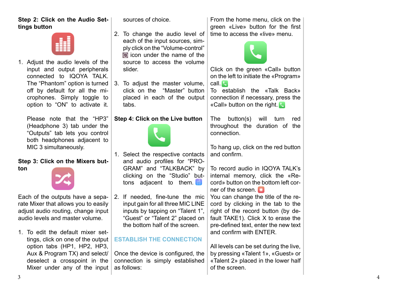# **Step 2: Click on the Audio Settings button**

1. Adjust the audio levels of the input and output peripherals connected to IQOYA TALK. The "Phantom" option is turned off by default for all the microphones. Simply toggle to option to "ON" to activate it.

Please note that the "HP3" (Headphone 3) tab under the "Outputs" tab lets you control both headphones adjacent to MIC 3 simultaneously.

#### **Step 3: Click on the Mixers button**

Each of the outputs have a separate Mixer that allows you to easily adjust audio routing, change input audio levels and master volume.

1. To edit the default mixer settings, click on one of the output option tabs (HP1, HP2, HP3, Aux & Program TX) and select/ deselect a crosspoint in the Mixer under any of the input sources of choice.

- 2. To change the audio level of each of the input sources, simply click on the "Volume-control"  $\Omega$  icon under the name of the source to access the volume slider.
- 3. To adjust the master volume, click on the "Master" button placed in each of the output tabs.

#### **Step 4: Click on the Live button**



2. If needed, fine-tune the mic input gain for all three MIC LINE inputs by tapping on "Talent 1", "Guest" or "Talent 2" placed on the bottom half of the screen.

## **ESTABLISH THE CONNECTION**

Once the device is configured, the connection is simply established as follows:

From the home menu, click on the green «Live» button for the first time to access the «live» menu.



Click on the green «Call» button on the left to initiate the «Program» call.

To establish the «Talk Back» connection if necessary, press the «Call» button on the right.

The button(s) will turn red throughout the duration of the connection.

To hang up, click on the red button and confirm.

To record audio in IQOYA TALK's internal memory, click the «Record» button on the bottom left corner of the screen.

You can change the title of the record by clicking in the tab to the right of the record button (by default TAKE1). Click X to erase the pre-defined text, enter the new text and confirm with ENTER.

All levels can be set during the live, by pressing «Talent 1», «Guest» or «Talent 2» placed in the lower half of the screen.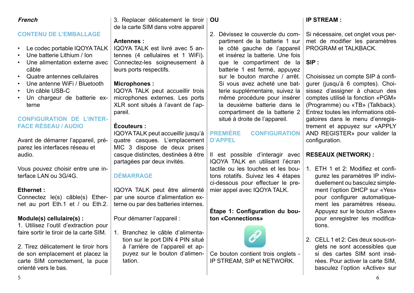## 2. Tirez délicatement le tiroir hors de son emplacement et placez la carte SIM correctement, la puce

#### Un câble USB-C • Un chargeur de batterie externe

#### **CONFIGURATION DE L'INTER-FACE RÉSEAU / AUDIO**

**CONTENU DE L'EMBALLAGE**

• Une batterie Lithium / Ion

• Quatre antennes cellulaires • Une antenne WiFi / Bluetooth

Une alimentation externe avec

Avant de démarrer l'appareil, préparez les interfaces réseau et audio.

Vous pouvez choisir entre une interface LAN ou 3G/4G.

#### **Ethernet :**

**French**

câble

Connectez le(s) câble(s) Ethernet au port Eth.1 et / ou Eth.2.

#### **Module(s) cellulaire(s) :**

1. Utilisez l'outil d'extraction pour faire sortir le tiroir de la carte SIM.

orienté vers le bas.

3. Replacer délicatement le tiroir de la carte SIM dans votre appareil **OU**

#### **Antennes :**

• Le codec portable IQOYA TALK IQOYA TALK est livré avec 5 antennes (4 cellulaires et 1 WiFi). Connectez-les soigneusement à leurs ports respectifs.

#### **Microphones :**

IQOYA TALK peut accueillir trois microphones externes. Les ports XLR sont situés à l'avant de l'appareil.

#### **Écouteurs :**

IQOYA TALK peut accueillir jusqu'à quatre casques. L'emplacement MIC 3 dispose de deux prises casque distinctes, destinées à être partagées par deux invités.

## **DÉMARRAGE**

IQOYA TALK peut être alimenté par une source d'alimentation externe ou par des batteries internes.

Pour démarrer l'appareil :

1. Branchez le câble d'alimentation sur le port DIN 4 PIN situé à l'arrière de l'appareil et appuyez sur le bouton d'alimentation.

2. Dévissez le couvercle du compartiment de la batterie 1 sur le côté gauche de l'appareil et insérez la batterie. Une fois que le compartiment de la batterie 1 est fermé, appuyez sur le bouton marche / arrêt. Si vous avez acheté une batterie supplémentaire, suivez la même procédure pour insérer la deuxième batterie dans le compartiment de la batterie 2 situé à droite de l'appareil.

#### **PREMIÈRE CONFIGURATION D'APPEL**

Il est possible d'interagir avec IQOYA TALK en utilisant l'écran tactile ou les touches et les boutons rotatifs. Suivez les 4 étapes ci-dessous pour effectuer le premier appel avec IQOYA TALK.

#### **Étape 1: Configuration du bouton «Connections»**



**IP STREAM :**

met de modifier les paramètres PROGRAM et TALKBACK.

#### **SIP :**

Choisissez un compte SIP à configurer (jusqu'à 6 comptes). Choisissez d'assigner à chacun des comptes utilisé la fonction «PGM» (Programme) ou «TB» (Talkback). Entrez toutes les informations obligatoires dans le menu d'enregistrement et appuyez sur «APPLY AND REGISTER» pour valider la configuration.

## **RESEAUX (NETWORK) :**

- 1. ETH 1 et 2: Modifiez et configurez les paramètres IP individuellement ou basculez simplement l'option DHCP sur «Yes» pour configurer automatiquement les paramètres réseau. Appuyez sur le bouton «Save» pour enregistrer les modifications.
- 2. CELL 1 et 2: Ces deux sous-onglets ne sont accessibles que si des cartes SIM sont insérées. Pour activer la carte SIM, basculez l'option «Active» sur



Ce bouton contient trois onglets - IP STREAM, SIP et NETWORK.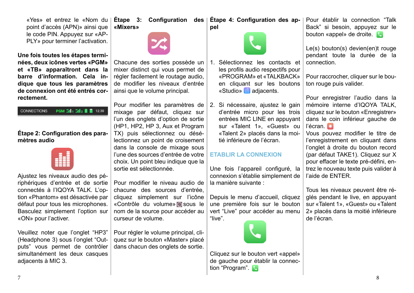Ajustez les niveaux audio des périphériques d'entrée et de sortie connectés à l'IQOYA TALK. L'option «Phantom» est désactivée par défaut pour tous les microphones. Basculez simplement l'option sur «ON» pour l'activer.

**Étape 2: Configuration des para-**

**PGM :ill1 :ill2 | 72:30** 

«Yes» et entrez le «Nom du point d'accès (APN)» ainsi que le code PIN. Appuyez sur «AP-PLY» pour terminer l'activation.

**Une fois toutes les étapes terminées, deux icônes vertes «PGM» et «TB» apparaîtront dans la barre d'information. Cela indique que tous les paramètres de connexion ont été entrés cor-**

**rectement.**

**CONNECTIONS** 

**mètres audio**

Veuillez noter que l'onglet "HP3" (Headphone 3) sous l'onglet "Outputs" vous permet de contrôler simultanément les deux casques adjacents à MIC 3.

**Étape 3: Configuration des Étape 4: Configuration des ap-«Mixers»**



Chacune des sorties possède un mixer distinct qui vous permet de régler facilement le routage audio, de modifier les niveaux d'entrée ainsi que le volume principal.

Pour modifier les paramètres de 2. Si nécessaire, ajustez le gain mixage par défaut, cliquez sur l'un des onglets d'option de sortie (HP1, HP2, HP 3, Aux et Program TX) puis sélectionnez ou désélectionnez un point de croisement dans la console de mixage sous l'une des sources d'entrée de votre choix. Un point bleu indique que la sortie est sélectionnée.

Pour modifier le niveau audio de chacune des sources d'entrée, cliquez simplement sur l'icône «Contrôle du volume» sous le nom de la source pour accéder au curseur de volume.

Pour régler le volume principal, cliquez sur le bouton «Master» placé dans chacun des onglets de sortie.

- 1. Sélectionnez les contacts et les profils audio respectifs pour «PROGRAM» et «TALKBACK» en cliquant sur les boutons «Studio» adjacents.
- d'entrée micro pour les trois entrées MIC LINE en appuyant sur «Talent 1», «Guest» ou «Talent 2» placés dans la moitié inférieure de l'écran.

#### **ETABLIR LA CONNEXION**

Une fois l'appareil configuré, la connexion s'établie simplement de la manière suivante :

Depuis le menu d'accueil, cliquez une première fois sur le bouton vert "Live" pour accéder au menu "live".



Pour établir la connection "Talk Back" si besoin, appuyez sur le bouton «appel» de droite.

Le(s) bouton(s) devien(en)t rouge pendant toute la durée de la connection.

Pour raccrocher, cliquer sur le bouton rouge puis valider.

Pour enregistrer l'audio dans la mémoire interne d'IQOYA TALK, cliquez sur le bouton «Enregistrer» dans le coin inférieur gauche de l'écran. O

Vous pouvez modifier le titre de l'enregistrement en cliquant dans l'onglet à droite du bouton record (par défaut TAKE1). Cliquez sur X pour effacer le texte pré-défini, entrez le nouveau texte puis valider à l'aide de ENTER.

Tous les niveaux peuvent être réglés pendant le live, en appuyant sur «Talent 1», «Guest» ou «Talent 2» placés dans la moitié inférieure de l'écran.

**pel**